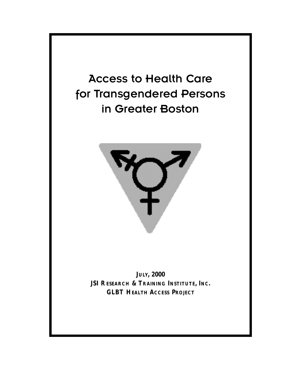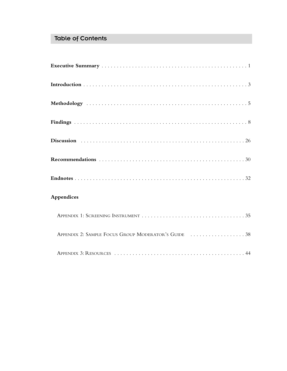# Table of Contents

| <b>Appendices</b>                                   |
|-----------------------------------------------------|
|                                                     |
| APPENDIX 2: SAMPLE FOCUS GROUP MODERATOR'S GUIDE 38 |
|                                                     |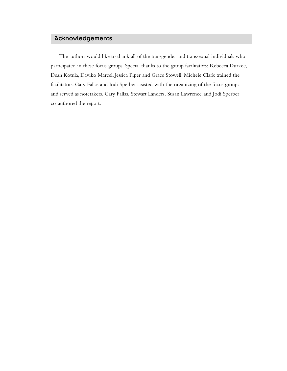## Acknowledgements

The authors would like to thank all of the transgender and transsexual individuals who participated in these focus groups. Special thanks to the group facilitators: Rebecca Durkee, Dean Kotula, Daviko Marcel, Jessica Piper and Grace Stowell. Michele Clark trained the facilitators. Gary Fallas and Jodi Sperber assisted with the organizing of the focus groups and served as notetakers. Gary Fallas, Stewart Landers, Susan Lawrence,and Jodi Sperber co-authored the report.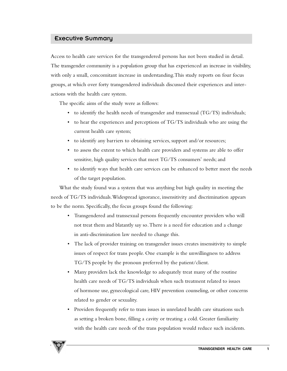## <span id="page-3-0"></span>Executive Summary

Access to health care services for the transgendered persons has not been studied in detail. The transgender community is a population group that has experienced an increase in visibility, with only a small, concomitant increase in understanding.This study reports on four focus groups,at which over forty transgendered individuals discussed their experiences and interactions with the health care system.

The specific aims of the study were as follows:

- to identify the health needs of transgender and transsexual (TG/TS) individuals;
- to hear the experiences and perceptions of TG/TS individuals who are using the current health care system;
- to identify any barriers to obtaining services, support and/or resources;
- to assess the extent to which health care providers and systems are able to offer sensitive, high quality services that meet TG/TS consumers' needs; and
- to identify ways that health care services can be enhanced to better meet the needs of the target population.

What the study found was a system that was anything but high quality in meeting the needs of TG/TS individuals.Widespread ignorance, insensitivity and discrimination appears to be the norm. Specifically, the focus groups found the following:

- Transgendered and transsexual persons frequently encounter providers who will not treat them and blatantly say so.There is a need for education and a change in anti-discrimination law needed to change this.
- The lack of provider training on transgender issues creates insensitivity to simple issues of respect for trans people. One example is the unwillingness to address TG/TS people by the pronoun preferred by the patient/client.
- Many providers lack the knowledge to adequately treat many of the routine health care needs of TG/TS individuals when such treatment related to issues of hormone use, gynecological care, HIV prevention counseling, or other concerns related to gender or sexuality.
- Providers frequently refer to trans issues in unrelated health care situations such as setting a broken bone, filling a cavity or treating a cold. Greater familiarity with the health care needs of the trans population would reduce such incidents.

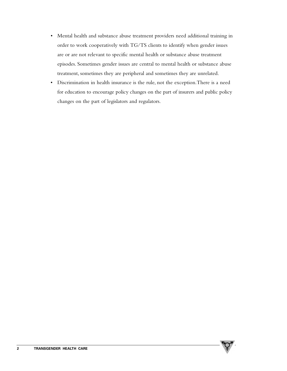- Mental health and substance abuse treatment providers need additional training in order to work cooperatively with TG/TS clients to identify when gender issues are or are not relevant to specific mental health or substance abuse treatment episodes. Sometimes gender issues are central to mental health or substance abuse treatment, sometimes they are peripheral and sometimes they are unrelated.
- Discrimination in health insurance is the rule, not the exception.There is a need for education to encourage policy changes on the part of insurers and public policy changes on the part of legislators and regulators.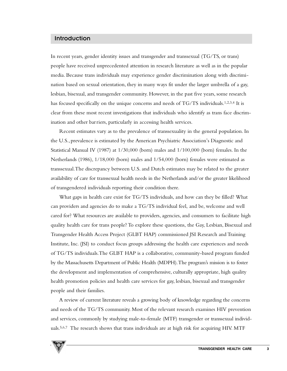## <span id="page-5-0"></span>Introduction

<span id="page-5-1"></span>In recent years, gender identity issues and transgender and transsexual (TG/TS, or trans) people have received unprecedented attention in research literature as well as in the popular media. Because trans individuals may experience gender discrimination along with discrimination based on sexual orientation, they in many ways fit under the larger umbrella of a gay, lesbian, bisexual, and transgender community. However, in the past five years, some research has focused specifically on the unique concerns and needs of TG/TS individuals.<sup>[1,2,3,4](#page-34-0)</sup> It is clear from these most recent investigations that individuals who identify as trans face discrimination and other barriers, particularly in accessing health services.

Recent estimates vary as to the prevalence of transsexuality in the general population. In the U.S.,prevalence is estimated by the American Psychiatric Association's Diagnostic and Statistical Manual IV (1987) at 1/30,000 (born) males and 1/100,000 (born) females. In the Netherlands (1986), 1/18,000 (born) males and 1/54,000 (born) females were estimated as transsexual.The discrepancy between U.S.and Dutch estimates may be related to the greater availability of care for transsexual health needs in the Netherlands and/or the greater likelihood of transgendered individuals reporting their condition there.

What gaps in health care exist for TG/TS individuals, and how can they be filled? What can providers and agencies do to make a TG/TS individual feel, and be, welcome and well cared for? What resources are available to providers, agencies, and consumers to facilitate high quality health care for trans people? To explore these questions, the Gay, Lesbian, Bisexual and Transgender Health Access Project (GLBT HAP) commissioned JSI Research and Training Institute, Inc. (JSI) to conduct focus groups addressing the health care experiences and needs of TG/TS individuals.The GLBT HAP is a collaborative, community-based program funded by the Massachusetts Department of Public Health (MDPH). The program's mission is to foster the development and implementation of comprehensive, culturally appropriate, high quality health promotion policies and health care services for gay, lesbian, bisexual and transgender people and their families.

A review of current literature reveals a growing body of knowledge regarding the concerns and needs of the TG/TS community. Most of the relevant research examines HIV prevention and services, commonly by studying male-to-female (MTF) transgender or transsexual individ-uals.<sup>[5,6,7](#page-34-0)</sup> The research shows that trans individuals are at high risk for acquiring HIV. MTF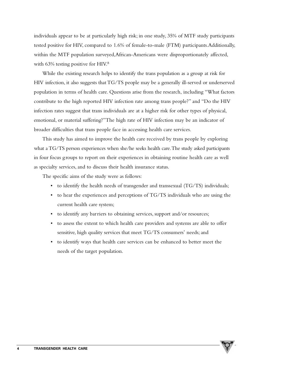<span id="page-6-0"></span>individuals appear to be at particularly high risk; in one study, 35% of MTF study participants tested positive for HIV, compared to 1.6% of female-to-male (FTM) participants.Additionally, within the MTF population surveyed,African-Americans were disproportionately affected, with 63% testing positive for HI[V.](#page-34-0) 8

While the existing research helps to identify the trans population as a group at risk for HIV infection, it also suggests that  $TG/TS$  people may be a generally ill-served or underserved population in terms of health care. Questions arise from the research, including "What factors contribute to the high reported HIV infection rate among trans people?" and "Do the HIV infection rates suggest that trans individuals are at a higher risk for other types of physical, emotional, or material suffering?"The high rate of HIV infection may be an indicator of broader difficulties that trans people face in accessing health care services.

This study has aimed to improve the health care received by trans people by exploring what a  $TG/TS$  person experiences when she/he seeks health care. The study asked participants in four focus g roups to report on their experiences in obtaining routine health care as well as specialty services,and to discuss their health insurance status.

The specific aims of the study were as follows:

- to identify the health needs of transgender and transsexual (TG/TS) individuals;
- to hear the experiences and perceptions of TG/TS individuals who are using the current health care system;
- to identify any barriers to obtaining services, support and/or resources;
- to assess the extent to which health care providers and systems are able to offer sensitive, high quality services that meet TG/TS consumers' needs; and
- to identify ways that health care services can be enhanced to better meet the needs of the target population.

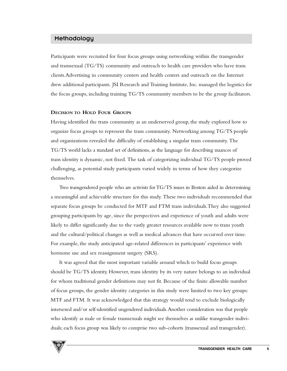## <span id="page-7-0"></span>Methodology

Participants were recruited for four focus groups using networking within the transgender and transsexual (TG/TS) community and outreach to health care providers who have trans clients.Advertising in community centers and health centers and outreach on the Internet drew additional participants. JSI Research and Training Institute, Inc. managed the logistics for the focus groups, including training TG/TS community members to be the group facilitators.

#### **DECISION TO HOLD FOUR GROUPS**

Having identified the trans community as an underserved group, the study explored how to organize focus groups to represent the trans community. Networking among TG/TS people and organizations revealed the difficulty of establishing a singular trans community. The TG/TS world lacks a standard set of definitions, as the language for describing nuances of trans identity is dynamic, not fixed. The task of categorizing individual TG/TS people proved challenging, as potential study participants varied widely in terms of how they categorize themselves.

Two transgendered people who are activists for TG/TS issues in Boston aided in determining a meaningful and achievable structure for this study. These two individuals recommended that separate focus groups be conducted for MTF and FTM trans individuals.They also suggested grouping participants by age, since the perspectives and experience of youth and adults were likely to differ significantly due to the vastly greater resources available now to trans youth and the cultural/political changes as well as medical advances that have occurred over time. For example, the study anticipated age-related differences in participants' experience with hormone use and sex reassignment surgery (SRS).

It was agreed that the most important variable around which to build focus groups should be TG/TS identity. However, trans identity by its very nature belongs to an individual for whom traditional gender definitions may not fit. Because of the finite allowable number of focus groups, the gender identity categories in this study were limited to two key groups: MTF and FTM. It was acknowledged that this strategy would tend to exclude biologically intersexed and/or self-identified ungendered individuals. Another consideration was that people who identify as male or female transsexuals might see themselves as unlike transgender individuals; each focus group was likely to comprise two sub-cohorts (transsexual and transgender).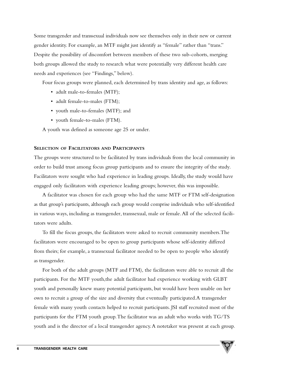Some transgender and transsexual individuals now see themselves only in their new or current gender identity. For example, an MTF might just identify as "female" rather than "trans." Despite the possibility of discomfort between members of these two sub-cohorts, merging both groups allowed the study to research what were potentially very different health care needs and experiences (see ["Findings,"](#page-10-0) below).

Four focus groups were planned, each determined by trans identity and age, as follows:

- adult male-to-females (MTF);
- adult female-to-males (FTM);
- youth male-to-females (MTF); and
- youth female-to-males (FTM).

A youth was defined as someone age 25 or under.

#### **SELECTION OF FACILITATORS AND PARTICIPANTS**

The groups were structured to be facilitated by trans individuals from the local community in order to build trust among focus group participants and to ensure the integrity of the study. Facilitators were sought who had experience in leading groups. Ideally, the study would have engaged only facilitators with experience leading groups; however, this was impossible.

A facilitator was chosen for each group who had the same MTF or FTM self-designation as that group's participants, although each group would comprise individuals who self-identified in various ways, including as transgender, transsexual, male or female.All of the selected facilitators were adults.

To fill the focus groups, the facilitators were asked to recruit community members.The facilitators were encouraged to be open to group participants whose self-identity differed from theirs; for example, a transsexual facilitator needed to be open to people who identify as transgender.

For both of the adult groups (MTF and FTM), the facilitators were able to recruit all the participants. For the MTF youth,the adult facilitator had experience working with GLBT youth and personally knew many potential participants, but would have been unable on her own to recruit a group of the size and diversity that eventually participated.A transgender female with many youth contacts helped to recruit participants. JSI staff recruited most of the participants for the FTM youth group.The facilitator was an adult who works with TG/TS youth and is the director of a local transgender agency.A notetaker was present at each group.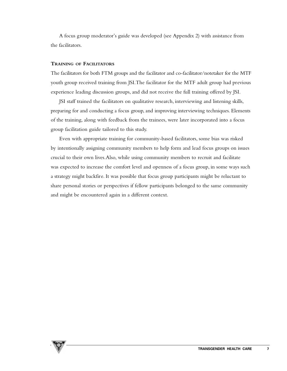A focus group moderator's guide was developed (see Appendix 2) with assistance from the facilitators.

#### **TRAINING OF FACILITATORS**

The facilitators for both FTM groups and the facilitator and co-facilitator/notetaker for the MTF youth group received training from JSI.The facilitator for the MTF adult group had previous experience leading discussion groups, and did not receive the full training offered by JSI.

JSI staff trained the facilitators on qualitative research, interviewing and listening skills, preparing for and conducting a focus group, and improving interviewing techniques. Elements of the training, along with feedback from the trainees, were later incorporated into a focus group facilitation guide tailored to this study.

Even with appropriate training for community-based facilitators, some bias was risked by intentionally assigning community members to help form and lead focus groups on issues crucial to their own lives.Also, while using community members to recruit and facilitate was expected to increase the comfort level and openness of a focus group, in some ways such a strategy might backfire. It was possible that focus group participants might be reluctant to share personal stories or perspectives if fellow participants belonged to the same community and might be encountered again in a different context.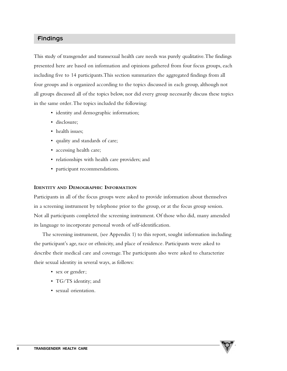## <span id="page-10-0"></span>Findings

This study of transgender and transsexual health care needs was purely qualitative.The findings presented here are based on information and opinions gathered from four focus groups, each including five to 14 participants.This section summarizes the aggregated findings from all four groups and is organized according to the topics discussed in each group, although not all groups discussed all of the topics below, nor did every group necessarily discuss these topics in the same order.The topics included the following:

- identity and demographic information;
- disclosure;
- health issues:
- quality and standards of care;
- accessing health care;
- relationships with health care providers; and
- participant recommendations.

#### **IDENTITY AND DEMOGRAPHIC INFORMATION**

Participants in all of the focus groups were asked to provide information about themselves in a screening instrument by telephone prior to the group, or at the focus group session. Not all participants completed the screening instrument. Of those who did, many amended its language to incorporate personal words of self-identification.

The [screening instrument,](#page-36-0) (see Appendix 1) to this report, sought information including the participant's age, race or ethnicity, and place of residence. Participants were asked to describe their medical care and coverage.The participants also were asked to characterize their sexual identity in several ways, as follows:

- sex or gender;
- TG/TS identity; and
- sexual orientation.

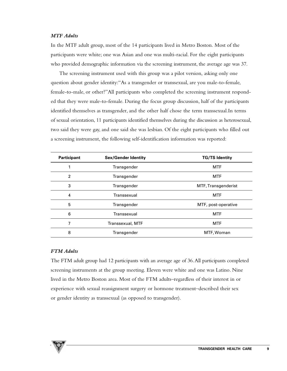## *MTF Adults*

In the MTF adult group, most of the 14 participants lived in Metro Boston. Most of the participants were white; one was Asian and one was multi-racial. For the eight participants who provided demographic information via the screening instrument, the average age was 37.

The screening instrument used with this group was a pilot version, asking only one question about gender identity:"As a transgender or transsexual, are you male-to-female, female-to-male, or other?"All participants who completed the screening instrument responded that they were male-to-female. During the focus group discussion, half of the participants identified themselves as transgender, and the other half chose the term transsexual. In terms of sexual orientation, 11 participants identified themselves during the discussion as heterosexual, two said they were gay, and one said she was lesbian. Of the eight participants who filled out a screening instrument, the following self-identification information was reported:

| <b>Participant</b> | <b>Sex/Gender Identity</b> | <b>TG/TS Identity</b> |  |
|--------------------|----------------------------|-----------------------|--|
|                    | Transgender                | <b>MTF</b>            |  |
| 2                  | Transgender                | <b>MTF</b>            |  |
| 3                  | Transgender                | MTF, Transgenderist   |  |
| 4                  | Transsexual                | <b>MTF</b>            |  |
| 5                  | Transgender                | MTF, post-operative   |  |
| 6                  | Transsexual                | <b>MTF</b>            |  |
| 7                  | Transsexual, MTF           | <b>MTF</b>            |  |
| 8                  | Transgender                | MTF, Woman            |  |

#### *FTM Adults*

The FTM adult group had 12 participants with an average age of 36.All participants completed screening instruments at the group meeting. Eleven were white and one was Latino. Nine lived in the Metro Boston area. Most of the FTM adults–regardless of their interest in or experience with sexual reassignment surgery or hormone treatment–described their sex or gender identity as transsexual (as opposed to transgender).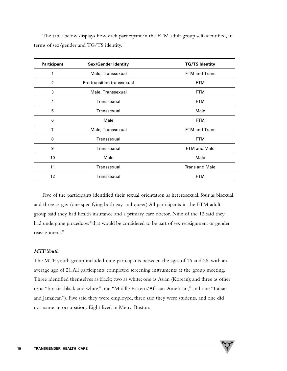| Participant    | <b>Sex/Gender Identity</b> | <b>TG/TS Identity</b> |
|----------------|----------------------------|-----------------------|
| 1              | Male, Transsexual          | <b>FTM and Trans</b>  |
| $\overline{2}$ | Pre-transition transsexual | <b>FTM</b>            |
| 3              | Male, Transsexual          | <b>FTM</b>            |
| 4              | Transsexual                | <b>FTM</b>            |
| 5              | Transsexual                | Male                  |
| 6              | Male                       | <b>FTM</b>            |
| 7              | Male, Transsexual          | <b>FTM and Trans</b>  |
| 8              | Transsexual                | <b>FTM</b>            |
| 9              | Transsexual                | <b>FTM and Male</b>   |
| 10             | Male                       | Male                  |
| 11             | Transsexual                | <b>Trans and Male</b> |
| 12             | Transsexual                | <b>FTM</b>            |

The table below displays how each participant in the FTM adult group self-identified, in terms of sex/gender and TG/TS identity.

Five of the participants identified their sexual orientation as heterosexual, four as bisexual, and three as gay (one specifying both gay and queer).All participants in the FTM adult group said they had health insurance and a primary care doctor. Nine of the 12 said they had undergone procedures "that would be considered to be part of sex reassignment or gender reassignment."

## *MTF Youth*

The MTF youth group included nine participants between the ages of 16 and 26, with an average age of 21.All participants completed screening instruments at the group meeting. Three identified themselves as black; two as white; one as Asian (Korean); and three as other (one "biracial black and white," one "Middle Eastern/African-American," and one "Italian and Jamaican"). Five said they were employed, three said they were students, and one did not name an occupation. Eight lived in Metro Boston.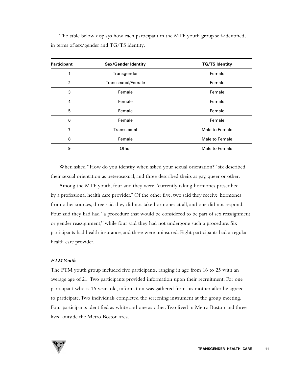| Participant    | <b>Sex/Gender Identity</b> | <b>TG/TS Identity</b> |
|----------------|----------------------------|-----------------------|
| 1              | Transgender                | Female                |
| $\overline{2}$ | Transsexual/Female         | Female                |
| 3              | Female                     | Female                |
| 4              | Female                     | Female                |
| 5              | Female                     | Female                |
| 6              | Female                     | Female                |
| 7              | Transsexual                | <b>Male to Female</b> |
| 8              | Female                     | Male to Female        |
| 9              | Other                      | Male to Female        |
|                |                            |                       |

The table below displays how each participant in the MTF youth group self-identified, in terms of sex/gender and TG/TS identity.

When asked "How do you identify when asked your sexual orientation?" six described their sexual orientation as heterosexual, and three described theirs as gay, queer or other.

Among the MTF youth, four said they were "currently taking hormones prescribed by a professional health care provider." Of the other five, two said they receive hormones from other sources, three said they did not take hormones at all, and one did not respond. Four said they had had "a procedure that would be considered to be part of sex reassignment or gender reassignment," while four said they had not undergone such a procedure. Six participants had health insurance, and three were uninsured. Eight participants had a regular health care provider.

## *FTM Youth*

The FTM youth group included five participants, ranging in age from 16 to 25 with an average age of 21. Two participants provided information upon their recruitment. For one participant who is 16 years old, information was gathered from his mother after he agreed to participate.Two individuals completed the screening instrument at the group meeting. Four participants identified as white and one as other.Two lived in Metro Boston and three lived outside the Metro Boston area.

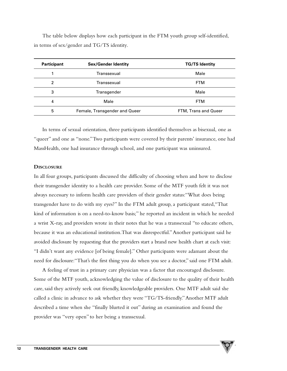| Participant | <b>Sex/Gender Identity</b>    | <b>TG/TS Identity</b> |  |
|-------------|-------------------------------|-----------------------|--|
|             | Transsexual                   | Male                  |  |
| 2           | Transsexual                   | <b>FTM</b>            |  |
| 3           | Transgender                   | Male                  |  |
| Male<br>4   |                               | <b>FTM</b>            |  |
| 5           | Female, Transgender and Queer | FTM, Trans and Queer  |  |

The table below displays how each participant in the FTM youth group self-identified, in terms of sex/gender and TG/TS identity.

In terms of sexual orientation, three participants identified themselves as bisexual, one as "queer" and one as "none."Two participants were covered by their parents' insurance, one had MassHealth, one had insurance through school, and one participant was uninsured.

#### **DISCLOSURE**

In all four groups, participants discussed the difficulty of choosing when and how to disclose their transgender identity to a health care provider. Some of the MTF youth felt it was not always necessary to inform health care providers of their gender status:"What does being transgender have to do with my eyes?" In the FTM adult group, a participant stated,"That kind of information is on a need-to-know basis;" he reported an incident in which he needed a wrist X-ray,and providers wrote in their notes that he was a transsexual "to educate others, because it was an educational institution.That was disrespectful."Another participant said he avoided disclosure by requesting that the providers start a brand new health chart at each visit: "I didn't want any evidence [of being female]." Other participants were adamant about the need for disclosure: "That's the first thing you do when you see a doctor," said one FTM adult.

A feeling of trust in a primary care physician was a factor that encouraged disclosure. Some of the MTF youth, acknowledging the value of disclosure to the quality of their health care, said they actively seek out friendly, knowledgeable providers. One MTF adult said she called a clinic in advance to ask whether they were "TG/TS-friendly."Another MTF adult described a time when she "finally blurted it out" during an examination and found the provider was "very open" to her being a transsexual.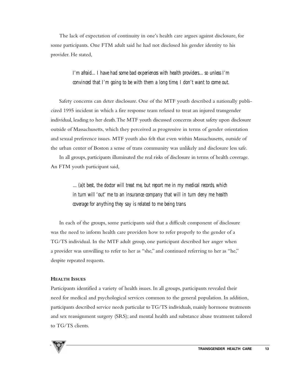The lack of expectation of continuity in one's health care argues against disclosure, for some participants. One FTM adult said he had not disclosed his gender identity to his provider. He stated,

## *I'm afraid…I have had some bad experiences with health providers…so unless I'm convinced that I'm going to be with them a long time, I don't want to come out.*

Safety concerns can deter disclosure. One of the MTF youth described a nationally publicized 1995 incident in which a fire response team refused to treat an injured transgender in dividual, leading to her death. The MTF youth discussed concerns about safety upon disclosure outside of Massachusetts, which they perceived as progressive in terms of gender orientation and sexual preference issues. MTF youth also felt that even within Massachusetts, outside of the urban center of Boston a sense of trans community was unlikely and disclosure less safe.

In all groups, participants illuminated the real risks of disclosure in terms of health coverage. An FTM youth participant said,

> *…(a)t best, the doctor will treat me, but report me in my medical records, which in turn will 'out' me to an insurance company that will in turn deny me health coverage for anything they say is related to me being trans.*

In each of the groups, some participants said that a difficult component of disclosure was the need to inform health care providers how to refer properly to the gender of a TG/TS individual. In the MTF adult group, one participant described her anger when a provider was unwilling to refer to her as "she," and continued referring to her as "he," despite repeated requests.

#### **HEALTH ISSUES**

Participants identified a variety of health issues. In all groups, participants revealed their need for medical and psychological services common to the general population. In addition, participants described service needs particular to  $TG/TS$  individuals, mainly hormone treatments and sex reassignment surgery (SRS); and mental health and substance abuse treatment tailored to TG/TS clients.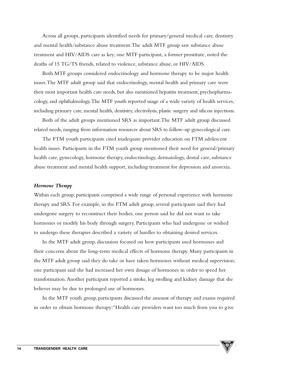Across all groups, participants identified needs for primary/general medical care, dentistry and mental health/substance abuse treatment.The adult MTF group saw substance abuse treatment and HIV/AIDS care as key; one MTF participant, a former prostitute, noted the deaths of 15 TG/TS friends, related to violence, substance abuse, or HIV/AIDS.

Both MTF groups considered endocrinology and hormone therapy to be major health issues.The MTF adult group said that endocrinology, mental health and primary care were their most important health care needs, but also mentioned hepatitis treatment, psychopharmacology, and ophthalmology. The MTF youth reported usage of a wide variety of health services, including primary care, mental health, dentistry, electrolysis, plastic surgery and silicon injections.

Both of the adult groups mentioned SRS as important.The MTF adult group discussed related needs, ranging from information resources about SRS to follow-up gynecological care.

The FTM youth participants cited inadequate provider education on FTM adolescent health issues. Participants in the FTM youth group mentioned their need for general/primary health care, gynecology, hormone therapy, endocrinology, dermatology, dental care, substance abuse treatment and mental health support, including treatment for depression and anorexia.

#### *Hormone Therapy*

Within each group, participants comprised a wide range of personal experience with hormone therapy and SRS. For example, in the FTM adult group, several participants said they had undergone surgery to reconstruct their bodies; one person said he did not want to take hormones or modify his body through surgery. Participants who had undergone or wished to undergo these therapies described a variety of hurdles to obtaining desired services.

In the MTF adult group, discussion focused on how participants used hormones and their concerns about the long-term medical effects of hormone therapy. Many participants in the MTF adult group said they do take or have taken hormones without medical supervision; one participant said she had increased her own dosage of hormones in order to speed her transformation. Another participant reported a stroke, leg swelling and kidney damage that she believes may be due to prolonged use of hormones.

In the MTF youth group, participants discussed the amount of therapy and exams required in order to obtain hormone therapy:"Health care providers want too much from you to give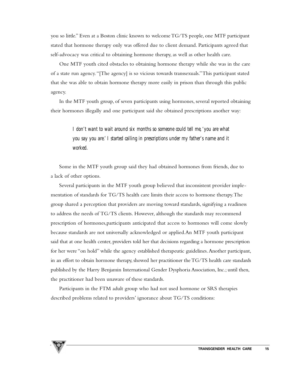you so little." Even at a Boston clinic known to welcome TG/TS people, one MTF participant stated that hormone therapy only was offered due to client demand. Participants agreed that self-advocacy was critical to obtaining hormone therapy, as well as other health care.

One MTF youth cited obstacles to obtaining hormone therapy while she was in the care of a state run agency."[The agency] is so vicious towards transsexuals."This participant stated that she was able to obtain hormone therapy more easily in prison than through this public agency.

In the MTF youth group, of seven participants using hormones, several reported obtaining their hormones illegally and one participant said she obtained prescriptions another way:

# *I don't want to wait around six months so someone could tell me,'you are what you say you are.' I started calling in prescriptions under my father's name and it worked.*

Some in the MTF youth group said they had obtained hormones from friends, due to a lack of other options.

Several participants in the MTF youth group believed that inconsistent provider implementation of standards for TG/TS health care limits their access to hormone therapy.The group shared a perception that providers are moving toward standards, signifying a readiness to address the needs of TG/TS clients. However, although the standards may recommend prescription of hormones,participants anticipated that access to hormones will come slowly because standards are not universally acknowledged or applied.An MTF youth participant said that at one health center, providers told her that decisions regarding a hormone prescription for her were "on hold" while the agency established therapeutic guidelines. Another participant, in an effort to obtain hormone therapy, showed her practitioner the  $TG/TS$  health care standards published by the Harry Benjamin International Gender Dysphoria Association, Inc.; until then, the practitioner had been unaware of these standards.

Participants in the FTM adult group who had not used hormone or SRS therapies described problems related to providers' ignorance about TG/TS conditions:

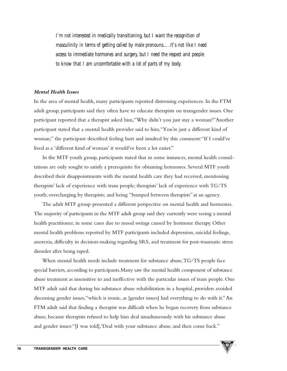*I'm not interested in medically transitioning, but I want the recognition of masculinity in terms of getting called by male pronouns….it's not like I need access to immediate hormones and surgery, but I need the respect and people to know that I am uncomfortable with a lot of parts of my body.*

#### *Mental Health Issues*

In the area of mental health, many participants reported distressing experiences. In the FTM adult group, participants said they often have to educate therapists on transgender issues. One participant reported that a therapist asked him,"Why didn't you just stay a woman?"Another participant stated that a mental health provider said to him,"You're just a different kind of woman;" the participant described feeling hurt and insulted by this comment:"If I could've lived as a 'different kind of woman' it would've been a lot easier."

In the MTF youth group, participants stated that in some instances, mental health consultations are only sought to satisfy a prerequisite for obtaining hormones. Several MTF youth described their disappointments with the mental health care they had received, mentioning therapists' lack of experience with trans people; therapists' lack of experience with TG/TS youth; overcharging by therapists; and being "bumped between therapists" at an agency.

The adult MTF group presented a different perspective on mental health and hormones. The majority of participants in the MTF adult group said they currently were seeing a mental health practitioner, in some cases due to mood swings caused by hormone therapy. Other mental health problems reported by MTF participants included depression, suicidal feelings, anorexia, difficulty in decision-making regarding SRS, and treatment for post-traumatic stress disorder after being raped.

When mental health needs include treatment for substance abuse, TG/TS people face special barriers, according to participants. Many saw the mental health component of substance abuse treatment as insensitive to and ineffective with the particular issues of trans people. One MTF adult said that during his substance abuse rehabilitation in a hospital, providers avoided discussing gender issues, "which is ironic, as [gender issues] had everything to do with it." An FTM adult said that finding a therapist was difficult when he began recovery from substance abuse, because therapists refused to help him deal simultaneously with his substance abuse and gender issues:"[I was told],'Deal with your substance abuse, and then come back."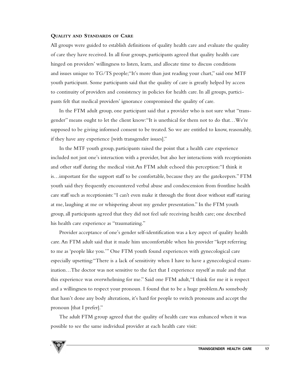#### **QUALITY AND STANDARDS OF CARE**

All groups were guided to establish definitions of quality health care and evaluate the quality of care they have received. In all four groups, participants agreed that quality health care hinged on providers' willingness to listen, learn, and allocate time to discuss conditions and issues unique to TG/TS people;"It's more than just reading your chart," said one MTF youth participant. Some participants said that the quality of care is greatly helped by access to continuity of providers and consistency in policies for health care. In all groups, participants felt that medical providers' ignorance compromised the quality of care.

In the FTM adult group, one participant said that a provider who is not sure what "transgender" means ought to let the client know:"It is unethical for them not to do that…We're supposed to be giving informed consent to be treated. So we are entitled to know, reasonably, if they have any experience [with transgender issues]."

In the MTF youth group, participants raised the point that a health care experience included not just one's interaction with a provider, but also her interactions with receptionists and other staff during the medical visit.An FTM adult echoed this perception:"I think it is…important for the support staff to be comfortable, because they are the gatekeepers." FTM youth said they frequently encountered verbal abuse and condescension from frontline health care staff such as receptionists: "I can't even make it through the front door without staff staring at me, laughing at me or whispering about my gender presentation." In the FTM youth group,all participants ag reed that they did not feel safe receiving health care; one described his health care experience as "traumatizing."

Provider acceptance of one's gender self-identification was a key aspect of quality health care.An FTM adult said that it made him uncomfortable when his provider "kept referring to me as 'people like you.'" One FTM youth found experiences with gynecological care especially upsetting:"There is a lack of sensitivity when I have to have a gynecological examination…The doctor was not sensitive to the fact that I experience myself as male and that this experience was overwhelming for me." Said one FTM adult,"I think for me it is respect and a willingness to respect your pronoun. I found that to be a huge problem.As somebody that hasn't done any body alterations, it's hard for people to switch pronouns and accept the pronoun [that I prefer]."

The adult FTM group agreed that the quality of health care was enhanced when it was possible to see the same individual provider at each health care visit:

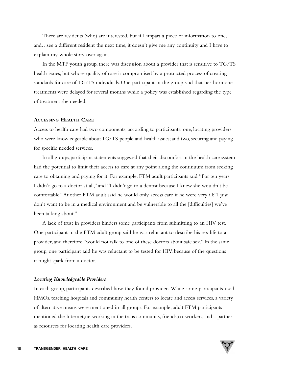There are residents (who) are interested, but if I impart a piece of information to one, and…see a different resident the next time, it doesn't give me any continuity and I have to explain my whole story over again.

In the MTF youth group, there was discussion about a provider that is sensitive to TG/TS health issues, but whose quality of care is compromised by a protracted process of creating standards for care of TG/TS individuals. One participant in the group said that her hormone treatments were delayed for several months while a policy was established regarding the type of treatment she needed.

#### **ACCESSING HEALTH CARE**

Access to health care had two components, according to participants: one, locating providers who were knowledgeable about TG/TS people and health issues; and two, securing and paying for specific needed services.

In all groups, participant statements suggested that their discomfort in the health care system had the potential to limit their access to care at any point along the continuum from seeking care to obtaining and paying for it. For example, FTM adult participants said "For ten years I didn't go to a doctor at all," and "I didn't go to a dentist because I knew she wouldn't be comfortable."Another FTM adult said he would only access care if he were very ill:"I just don't want to be in a medical environment and be vulnerable to all the [difficulties] we've been talking about."

A lack of trust in providers hinders some participants from submitting to an HIV test. One participant in the FTM adult group said he was reluctant to describe his sex life to a provider, and therefore "would not talk to one of these doctors about safe sex." In the same group, one participant said he was reluctant to be tested for HIV, because of the questions it might spark from a doctor.

#### *Locating Knowledgeable Providers*

In each group, participants described how they found providers.While some participants used HMOs, teaching hospitals and community health centers to locate and access services, a variety of alternative means were mentioned in all groups. For example,adult FTM participants mentioned the Internet,networking in the trans community, friends,co-workers, and a partner as resources for locating health care providers.

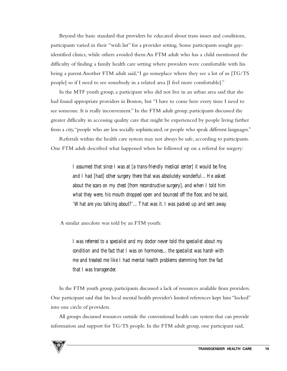Beyond the basic standard that providers be educated about trans issues and conditions, participants varied in their "wish list" for a provider setting. Some participants sought gayidentified clinics, while others avoided them.An FTM adult who has a child mentioned the difficulty of finding a family health care setting where providers were comfortable with his being a parent.Another FTM adult said,"I go someplace where they see a lot of us [TG/TS people] so if I need to see somebody in a related area [I feel more comfortable]."

In the MTF youth group,a participant who did not live in an urban area said that she had found appropriate providers in Boston, but "I have to come here every time I need to see someone. It is really inconvenient." In the FTM adult group, participants discussed the greater difficulty in accessing quality care that might be experienced by people living farther from a city, "people who are less socially sophisticated, or people who speak different languages."

Referrals within the health care system may not always be safe, according to participants. One FTM adult described what happened when he followed up on a referral for surgery:

> *I assumed that since I was at [a trans-friendly medical center] it would be fine, and I had [had] other surgery there that was absolutely wonderful…He asked about the scars on my chest [from reconstructive surgery], and when I told him what they were, his mouth dropped open and bounced off the floor, and he said, 'What are you talking about?'…That was it. I was packed up and sent away.*

A similar anecdote was told by an FTM youth:

*I was referred to a specialist and my doctor never told the specialist about my condition and the fact that I was on hormones…the specialist was harsh with me and treated me like I had mental health problems stemming from the fact that I was transgender.*

In the FTM youth group, participants discussed a lack of resources available from providers. One participant said that his local mental health provider's limited references kept him "locked" into one circle of providers.

All groups discussed resources outside the conventional health care system that can provide information and support for TG/TS people. In the FTM adult group, one participant said,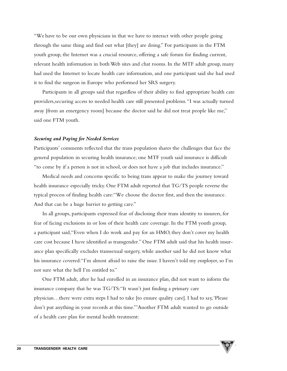"We have to be our own physicians in that we have to interact with other people going through the same thing and find out what [they] are doing." For participants in the FTM youth group, the Internet was a crucial resource, offering a safe forum for finding current, relevant health information in both Web sites and chat rooms. In the MTF adult group, many had used the Internet to locate health care information, and one participant said she had used it to find the surgeon in Europe who performed her SRS surgery.

Participants in all groups said that regardless of their ability to find appropriate health care providers, securing access to needed health care still presented problems. "I was actually turned away [from an emergency room] because the doctor said he did not treat people like me," said one FTM youth.

#### *Securing and Paying for Needed Services*

Participants' comments reflected that the trans population shares the challenges that face the general population in securing health insurance; one MTF youth said insurance is difficult "to come by if a person is not in school, or does not have a job that includes insurance."

Medical needs and concerns specific to being trans appear to make the journey toward health insurance especially tricky. One FTM adult reported that TG/TS people reverse the typical process of finding health care: "We choose the doctor first, and then the insurance. And that can be a huge barrier to getting care."

In all groups, participants expressed fear of disclosing their trans identity to insurers, for fear of facing exclusions in or loss of their health care coverage. In the FTM youth group, a participant said,"Even when I do work and pay for an HMO, they don't cover my health care cost because I have identified as transgender." One FTM adult said that his health insurance plan specifically excludes transsexual surgery, while another said he did not know what his insurance covered:"I'm almost afraid to raise the issue. I haven't told my employer, so I'm not sure what the hell I'm entitled to."

One FTM adult, after he had enrolled in an insurance plan, did not want to inform the insurance company that he was TG/TS:"It wasn't just finding a primary care physician…there were extra steps I had to take [to ensure quality care]. I had to say,'Please don't put anything in your records at this time.'"Another FTM adult wanted to go outside of a health care plan for mental health treatment: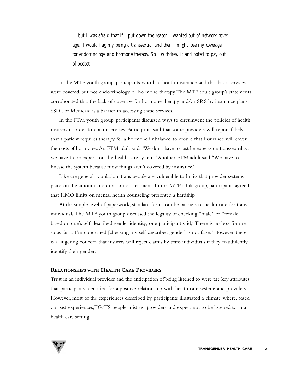*…but I was afraid that if I put down the reason I wanted out-of-network coverage, it would flag my being a transsexual and then I might lose my coverage for endocrinology and hormone therapy. So I withdrew it and opted to pay out of pocket.*

In the MTF youth group, participants who had health insurance said that basic services were covered, but not endocrinology or hormone therapy. The MTF adult group's statements corroborated that the lack of coverage for hormone therapy and/or SRS by insurance plans, SSDI, or Medicaid is a barrier to accessing these services.

In the FTM youth group, participants discussed ways to circumvent the policies of health insurers in order to obtain services. Participants said that some providers will report falsely that a patient requires therapy for a hormone imbalance, to ensure that insurance will cover the costs of hormones. An FTM adult said, "We don't have to just be experts on transsexuality; we have to be experts on the health care system."Another FTM adult said,"We have to finesse the system because most things aren't covered by insurance."

Like the general population, trans people are vulnerable to limits that provider systems place on the amount and duration of treatment. In the MTF adult group, participants agreed that HMO limits on mental health counseling presented a hardship.

At the simple level of paperwork, standard forms can be barriers to health care for trans individuals.The MTF youth group discussed the legality of checking "male" or "female" based on one's self-described gender identity; one participant said,"There is no box for me, so as far as I'm concerned [checking my self-described gender] is not false." However, there is a lingering concern that insurers will reject claims by trans individuals if they fraudulently identify their gender.

#### **RELATIONSHIPS WITH HEALTH CARE PROVIDERS**

Trust in an individual provider and the anticipation of being listened to were the key attributes that participants identified for a positive relationship with health care systems and providers. However, most of the experiences described by participants illustrated a climate where, based on past experiences,TG/TS people mistrust providers and expect not to be listened to in a health care setting.

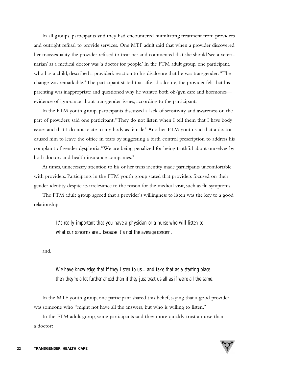In all groups, participants said they had encountered humiliating treatment from providers and outright refusal to provide services. One MTF adult said that when a provider discovered her transsexuality, the provider refused to treat her and commented that she should 'see a veterinarian' as a medical doctor was 'a doctor for people.' In the FTM adult group, one participant, who has a child, described a provider's reaction to his disclosure that he was transgender: "The change was remarkable."The participant stated that after disclosure, the provider felt that his parenting was inappropriate and questioned why he wanted both ob/gyn care and hormones evidence of ignorance about transgender issues, according to the participant.

In the FTM youth group, participants discussed a lack of sensitivity and awareness on the part of providers; said one participant,"They do not listen when I tell them that I have body issues and that I do not relate to my body as female."Another FTM youth said that a doctor caused him to leave the office in tears by suggesting a birth control prescription to address his complaint of gender dysphoria:"We are being penalized for being truthful about ourselves by both doctors and health insurance companies."

At times, unnecessary attention to his or her trans identity made participants uncomfortable with providers. Participants in the FTM youth group stated that providers focused on their gender identity despite its irrelevance to the reason for the medical visit, such as flu symptoms.

The FTM adult group agreed that a provider's willingness to listen was the key to a good relationship:

> *It's really important that you have a physician or a nurse who will listen to what our concerns are…because it's not the average concern.*

and,

*We have knowledge that if they listen to us…and take that as a starting place, then they're a lot further ahead than if they just treat us all as if we're all the same.*

In the MTF youth group, one participant shared this belief, saying that a good provider was someone who "might not have all the answers, but who is willing to listen."

In the FTM adult group, some participants said they more quickly trust a nurse than a doctor: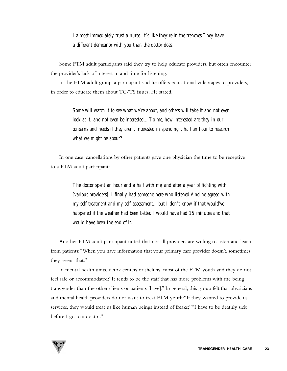*I almost immediately trust a nurse. It's like they're in the trenches.They have a different demeanor with you than the doctor does.*

Some FTM adult participants said they try to help educate providers, but often encounter the provider's lack of interest in and time for listening.

In the FTM adult group, a participant said he offers educational videotapes to providers, in order to educate them about TG/TS issues. He stated,

> *Some will watch it to see what we're about, and others will take it and not even look at it, and not even be interested…To me, how interested are they in our concerns and needs if they aren't interested in spending...half an hour to research what we might be about?*

In one case, cancellations by other patients gave one physician the time to be receptive to a FTM adult participant:

> *The doctor spent an hour and a half with me, and after a year of fighting with [various providers], I finally had someone here who listened.And he agreed with my self-treatment and my self-assessment…but I don't know if that would've happened if the weather had been better. I would have had 15 minutes and that would have been the end of it.*

Another FTM adult participant noted that not all providers are willing to listen and learn from patients: "When you have information that your primary care provider doesn't, sometimes they resent that."

In mental health units, detox centers or shelters, most of the FTM youth said they do not feel safe or accommodated:"It tends to be the staff that has more problems with me being transgender than the other clients or patients [have]." In general, this group felt that physicians and mental health providers do not want to treat FTM youth:"If they wanted to provide us services, they would treat us like human beings instead of freaks;""I have to be deathly sick before I go to a doctor."

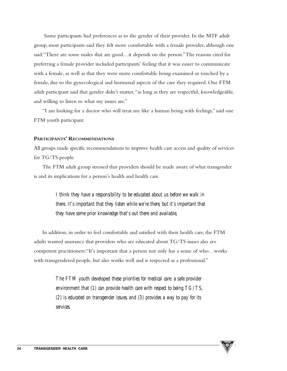Some participants had preferences as to the gender of their provider. In the MTF adult group, most participants said they felt more comfortable with a female provider, although one said:"There are some males that are good…it depends on the person."The reasons cited for preferring a female provider included participants' feeling that it was easier to communicate with a female, as well as that they were more comfortable being examined or touched by a female, due to the gynecological and hormonal aspects of the care they required. One FTM adult participant said that gender didn't matter,"as long as they are respectful, knowledgeable, and willing to listen to what my issues are."

"I am looking for a doctor who will treat me like a human being with feelings," said one FTM youth participant.

#### **PARTICIPANTS' RECOMMENDATIONS**

All groups made specific recommendations to improve health care access and quality of services for TG/TS people.

The FTM adult group stressed that providers should be made aware of what transgender is and its implications for a person's health and health care.

> *I think they have a responsibility to be educated about us before we walk in there. It's important that they listen while we're there, but it's important that they have some prior knowledge that's out there and available,*

In addition, in order to feel comfortable and satisfied with their health care, the FTM adults wanted assurance that providers who are educated about TG/TS issues also are competent practitioners:"It's important that a person not only has a sense of who…works with transgendered people, but also works well and is respected as a professional."

> *The FTM youth developed these priorities for medical care: a safe provider environment that (1) can provide health care with respect to being TG/TS, (2) is educated on transgender issues, and (3) provides a way to pay for its services.*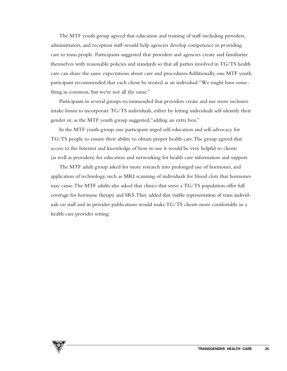The MTF youth group agreed that education and training of staff–including providers, administrators, and reception staff–would help agencies develop competence in providing care to trans people. Participants suggested that providers and agencies create and familiarize themselves with reasonable policies and standards so that all parties involved in TG/TS health care can share the same expectations about care and procedures.Additionally, one MTF youth participant recommended that each client be treated as an individual:"We might have something in common, but we're not all the same."

Participants in several groups recommended that providers create and use more inclusive intake forms to incorporate TG/TS individuals, either by letting individuals self-identify their gender or, as the MTF youth group suggested, "adding an extra box."

In the MTF youth group, one participant urged self-education and self-advocacy for TG/TS people to ensure their ability to obtain proper health care.The group agreed that access to the Internet and knowledge of how to use it would be very helpful to clients (as well as providers) for education and networking for health care information and support.

The MTF adult group asked for more research into prolonged use of hormones, and application of technology, such as MRI scanning of individuals for blood clots that hormones may cause.The MTF adults also asked that clinics that serve a TG/TS population offer full coverage for hormone therapy and SRS. They added that visible representation of trans individuals on staff and in provider publications would make  $TG/TS$  clients more comfortable in a health care provider setting.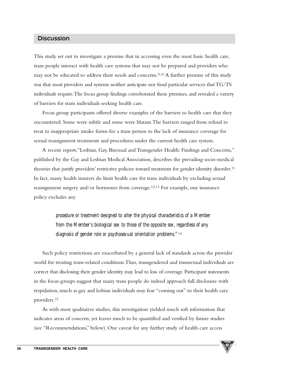## <span id="page-28-0"></span>**Discussion**

<span id="page-28-1"></span>This study set out to investigate a premise that in accessing even the most basic health care, trans people interact with health care systems that may not be prepared and providers who may not be educated to address their needs and concerns.[9,10](#page-34-0) A further premise of this study was that most providers and systems neither anticipate nor fund particular services that TG/TS in dividuals require. The focus group findings corroborated these premises, and revealed a variety of barriers for trans individuals seeking health care.

Focus group participants offered diverse examples of the barriers to health care that they encountered. Some were subtle and some were blatant.The barriers ranged from refusal to treat to inappropriate intake forms for a trans person to the lack of insurance coverage for sexual reassignment treatments and procedures under the current health care system.

A recent report,"Lesbian, Gay, Bisexual and Transgender Health: Findings and Concerns," published by the Gay and Lesbian Medical Association, describes the prevailing socio-medical theories that justify providers' restrictive policies toward treatment for gender identity disorder.<sup>11</sup> In fact, many health insurers do limit health care for trans individuals by excluding sexual reassignment surgery and/or hormones from coverage. [12,13](#page-34-0) For example, one insurance policy excludes any

> *procedure or treatment designed to alter the physical characteristics of a Member from the Member's biological sex to those of the opposite sex, regardless of any diagnosis of gender role or psychosexual orientation problems."*[14](#page-34-0)

Such policy restrictions are exacerbated by a general lack of standards across the provider world for treating trans-related conditions.Thus, transgendered and transsexual individuals are correct that disclosing their gender identity may lead to loss of coverage. Participant statements in the focus groups suggest that many trans people do indeed approach full disclosure with trepidation, much as gay and lesbian individuals may fear "coming out" to their health care providers.[15](#page-34-1)

As with most qualitative studies, this investigation yielded much soft information that indicates areas of concern, yet leaves much to be quantified and verified by future studies (see ["Recommendations,"](#page-32-0) below). One caveat for any further study of health care access

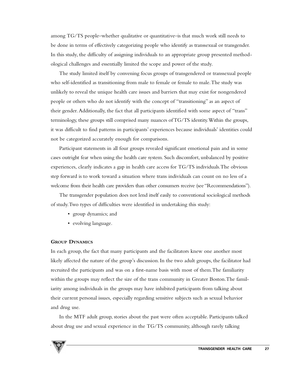among TG/TS people–whether qualitative or quantitative–is that much work still needs to be done in terms of effectively categorizing people who identify as transsexual or transgender. In this study, the difficulty of assigning individuals to an appropriate group presented methodological challenges and essentially limited the scope and power of the study.

The study limited itself by convening focus groups of transgendered or transsexual people who self-identified as transitioning from male to female or female to male.The study was unlikely to reveal the unique health care issues and barriers that may exist for nongendered people or others who do not identify with the concept of "transitioning" as an aspect of their gender.Additionally, the fact that all participants identified with some aspect of "trans" terminology, these groups still comprised many nuances of  $TG/TS$  identity. Within the groups, it was difficult to find patterns in participants' experiences because individuals' identities could not be categorized accurately enough for comparisons.

Participant statements in all four groups revealed significant emotional pain and in some cases outright fear when using the health care system. Such discomfort , unbalanced by positive experiences, clearly indicates a gap in health care access for TG/TS individuals.The obvious step forward is to work toward a situation where trans individuals can count on no less of a welcome from their health care providers than other consumers receive (see "Recommendations").

The transgender population does not lend itself easily to conventional sociological methods of study.Two types of difficulties were identified in undertaking this study:

- group dynamics; and
- evolving language.

#### **GROUP DYNAMICS**

In each group, the fact that many participants and the facilitators knew one another most likely affected the nature of the group's discussion.In the two adult groups, the facilitator had recruited the participants and was on a first-name basis with most of them.The familiarity within the groups may reflect the size of the trans community in Greater Boston.The familiarity among individuals in the groups may have inhibited participants from talking about their current personal issues, especially regarding sensitive subjects such as sexual behavior and drug use.

In the MTF adult group, stories about the past were often acceptable. Participants talked about drug use and sexual experience in the TG/TS community, although rarely talking

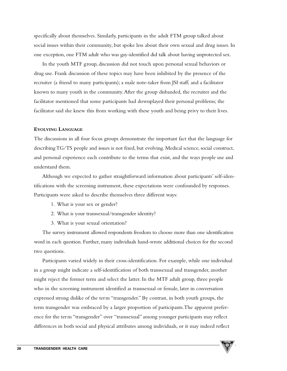specifically about themselves. Similarly, participants in the adult FTM group talked about social issues within their community, but spoke less about their own sexual and drug issues. In one exception, one FTM adult who was gay-identified did talk about having unprotected sex.

In the youth MTF group, discussion did not touch upon personal sexual behaviors or drug use. Frank discussion of these topics may have been inhibited by the presence of the recruiter (a friend to many participants); a male note-taker from JSI staff; and a facilitator known to many youth in the community.After the group disbanded, the recruiter and the facilitator mentioned that some participants had downplayed their personal problems; the facilitator said she knew this from working with these youth and being privy to their lives.

#### **EVOLVING LANGUAGE**

The discussions in all four focus groups demonstrate the important fact that the language for describing TG/TS people and issues is not fixed, but evolving. Medical science, social construct, and personal experience each contribute to the terms that exist, and the ways people use and understand them.

Although we expected to gather straightforward information about participants' self-identifications with the screening instrument, these expectations were confounded by responses. Participants were asked to describe themselves three different ways:

- 1. What is your sex or gender?
- 2. What is your transsexual/transgender identity?
- 3. What is your sexual orientation?

The survey instrument allowed respondents freedom to choose more than one identification word in each question. Further, many individuals hand-wrote additional choices for the second two questions.

Participants varied widely in their cross-identification. For example, while one individual in a group might indicate a self-identification of both transsexual and transgender, another might reject the former term and select the latter. In the MTF adult group, three people who in the screening instrument identified as transsexual or female, later in conversation expressed strong dislike of the term "transgender." By contrast, in both youth groups, the term transgender was embraced by a larger proportion of participants.The apparent preference for the term "transgender" over "transsexual" among younger participants may reflect differences in both social and physical attributes among individuals, or it may indeed reflect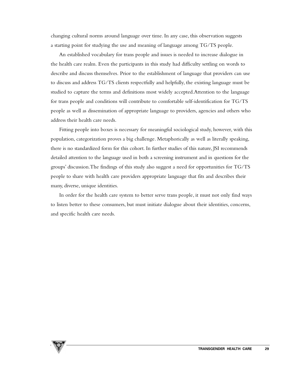changing cultural norms around language over time. In any case, this observation suggests a starting point for studying the use and meaning of language among TG/TS people.

An established vocabulary for trans people and issues is needed to increase dialogue in the health care realm. Even the participants in this study had difficulty settling on words to describe and discuss themselves. Prior to the establishment of language that providers can use to discuss and address TG/TS clients respectfully and helpfully, the existing language must be studied to capture the terms and definitions most widely accepted.Attention to the language for trans people and conditions will contribute to comfortable self-identification for TG/TS people as well as dissemination of appropriate language to providers, agencies and others who address their health care needs.

Fitting people into boxes is necessary for meaningful sociological study, however, with this population, categorization proves a big challenge. Metaphorically as well as literally speaking, there is no standardized form for this cohort. In further studies of this nature, JSI recommends detailed attention to the language used in both a screening instrument and in questions for the groups' discussion.The findings of this study also suggest a need for opportunities for TG/TS people to share with health care providers appropriate language that fits and describes their many, diverse, unique identities.

In order for the health care system to better serve trans people, it must not only find ways to listen better to these consumers, but must initiate dialogue about their identities, concerns, and specific health care needs.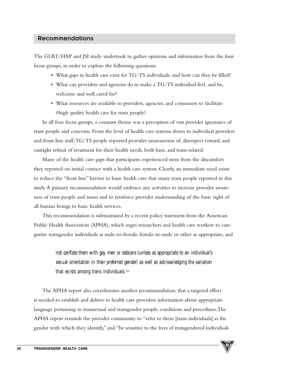## <span id="page-32-0"></span>Recommendations

<span id="page-32-1"></span>The GLBT/HAP and JSI study undertook to gather opinions and information from the four focus groups, in order to explore the following questions:

- What gaps in health care exist for TG/TS individuals, and how can they be filled?
- What can providers and agencies do to make a TG/TS individual feel, and be, welcome and well cared for?
- What resources are available to providers, agencies, and consumers to facilitate 0high quality health care for trans people?

In all four focus groups, a constant theme was a perception of vast provider ignorance of trans people and concerns. From the level of health care systems down to individual providers and front-line staff, TG/TS people reported provider unawareness of, disrespect toward, and outright refusal of treatment for their health needs, both basic and trans-related.

Many of the health care gaps that participants experienced stem from the discomfort they reported on initial contact with a health care system. Clearly, an immediate need exists to reduce the "front line" barrier to basic health care that many trans people reported in this study.A primary recommendation would embrace any activities to increase provider awareness of trans people and issues and to reinforce provider understanding of the basic right of all human beings to basic health services.

This recommendation is substantiated by a recent policy statement from the American Public Health Association (APHA), which urges researchers and health care workers to categorize transgender individuals as male-to-female, female-to-male or other as appropriate, and

> *not conflate them with gay men or lesbians (unless as appropriate to an individual's sexual orientation in their preferred gender) as well as acknowledging the variation that exists among trans individuals.* [16](#page-34-2)

The APHA report also corroborates another recommendation: that a targeted effort is needed to establish and deliver to health care providers information about appropriate language pertaining to transsexual and transgender people, conditions and procedures.The APHA report reminds the provider community to "refer to them [trans individuals] as the gender with which they identify," and "be sensitive to the lives of transgendered individuals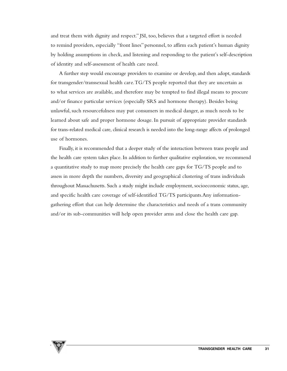and treat them with dignity and respect." JSI, too, believes that a targeted effort is needed to remind providers, especially "front lines" personnel, to affirm each patient's human dignity by holding assumptions in check, and listening and responding to the patient's self-description of identity and self-assessment of health care need.

A further step would encourage providers to examine or develop, and then adopt, standards for transgender/transsexual health care.TG/TS people reported that they are uncertain as to what services are available, and therefore may be tempted to find illegal means to procure and/or finance particular services (especially SRS and hormone therapy). Besides being unlawful, such resourcefulness may put consumers in medical danger, as much needs to be learned about safe and proper hormone dosage. In pursuit of appropriate provider standards for trans-related medical care, clinical research is needed into the long-range affects of prolonged use of hormones.

Finally, it is recommended that a deeper study of the interaction between trans people and the health care system takes place. In addition to further qualitative exploration, we recommend a quantitative study to map more precisely the health care gaps for TG/TS people and to assess in more depth the numbers, diversity and geographical clustering of trans individuals throughout Massachusetts. Such a study might include employment, socioeconomic status, age, and specific health care coverage of self-identified TG/TS participants.Any informationgathering effort that can help determine the characteristics and needs of a trans community and/or its sub-communities will help open provider arms and close the health care gap.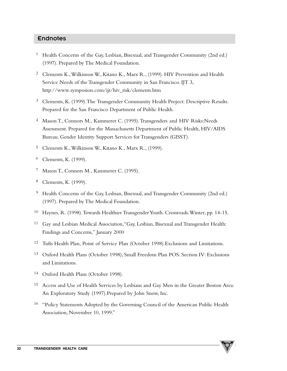## <span id="page-34-2"></span><span id="page-34-0"></span>**Endnotes**

- <span id="page-34-1"></span><sup>1</sup> Health Concerns of the Gay, Lesbian, Bisexual, and Transgender Community (2nd ed.) (1997). Prepared by The Medical Foundation.
- 2 Clements K.,Wilkinson W., Kitano K., Marx R., (1999). HIV Prevention and Health [Service Needs of the Transgender Community in San Francisco.](#page-5-0) IJT 3, http://www.symposion.com/ijt/hiv\_risk/clements.htm
- 3 Clements, K. (1999).The Transgender Community Health Project: Descriptive Results. Prepared for the San Francisco Department of Public Health.
- <sup>4</sup> Mason T., Connors M., Kammerer C. (1995). Transgenders and HIV Risks: Needs Assessment. Prepared for the Massachusetts Department of Public Health, HIV/AIDS Bureau. Gender Identity Support Services for Transgenders (GISST).
- 5 [Clements K.,Wilkinson W.,](#page-5-1) Kitano K., Marx R., (1999).
- 6 Clements, K. (1999).
- 7 Mason T., Connors M., Kammerer C. (1995).
- 8 [Clements,](#page-6-0) K. (1999).
- 9 Health Concerns of the Gay, Lesbian, [Bisexual,and Transgender Community \(2nd ed.\)](#page-28-0) (1997). Prepared by The Medical Foundation.
- 10 Haynes, R. (1998).Towards Healthier Transgender Youth. Crossroads.Winter, pp. 14-15.
- 11 [Gay and Lesbian Medical Association,"Gay,](#page-28-0) Lesbian, Bisexual and Transgender Health: Findings and Concerns," January 2000
- 12 Tufts Health Plan, [Point of Service Plan \(October 1998\).Exclusions and Limitations.](#page-28-0)
- 13 Oxford Health Plans (October 1998), Small Freedom Plan POS. Section IV: Exclusions and Limitations.
- 14 [Oxford Health Plans \(October 1998\).](#page-28-0)
- 15 [Access and Use of Health Services by Lesbians and Gay Men in the Greater Boston Area:](#page-28-1) An Exploratory Study (1997).Prepared by John Snow, Inc.
- <sup>16</sup> ["Policy Statements Adopted by the Governing Council of the American Public Health](#page-32-1) Association, November 10, 1999."

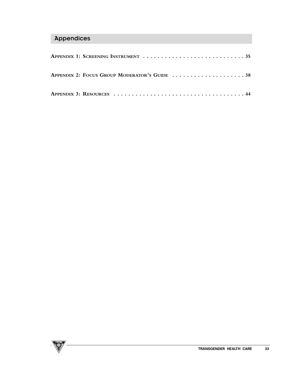# <span id="page-35-0"></span>Appendices

**RO**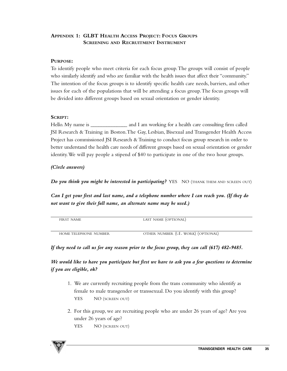## <span id="page-36-0"></span>**APPENDIX 1: GLBT HEALTH ACCESS PROJECT: FOCUS GROUPS SCREENING AND RECRUITMENT INSTRUMENT**

## **PURPOSE:**

To identify people who meet criteria for each focus group.The groups will consist of people who similarly identify and who are familiar with the health issues that affect their "community." The intention of the focus groups is to identify specific health care needs, barriers, and other issues for each of the populations that will be attending a focus group.The focus groups will be divided into different groups based on sexual orientation or gender identity.

## **SCRIPT:**

Hello. My name is  $\Box$  and I am working for a health care consulting firm called JSI Research & Training in Boston.The Gay, Lesbian, Bisexual and Transgender Health Access Project has commissioned JSI Research & Training to conduct focus group research in order to better understand the health care needs of different groups based on sexual orientation or gender identity.We will pay people a stipend of \$40 to participate in one of the two hour groups.

## *(Circle answers)*

*Do you think you might be interested in participating?* YES NO (THANK THEM AND SCREEN OUT)

*Can I get your first and last name, and a telephone number where I can reach you. (If they do not want to give their full name, an alternate name may be used.)*

| FIRST NAME            | LAST NAME (OPTIONAL)                |  |  |  |
|-----------------------|-------------------------------------|--|--|--|
|                       |                                     |  |  |  |
| HOME TELEPHONE NUMBER | OTHER NUMBER (I.E. WORK) (OPTIONAL) |  |  |  |

## *If they need to call us for any reason prior to the focus group, they can call (617) 482-9485.*

*We would like to have you participate but first we have to ask you a few questions to determine if you are eligible, ok?* 

- 1. We are currently recruiting people from the trans community who identify as female to male transgender or transsexual. Do you identify with this group? YES NO (SCREEN OUT)
- 2. For this group, we are recruiting people who are under 26 years of age? Are you under 26 years of age?

YES NO (SCREEN OUT)

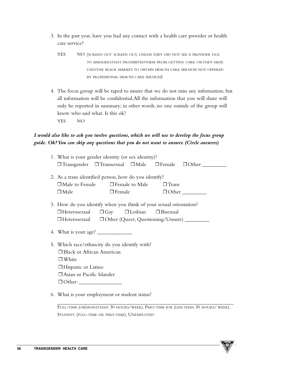- 3. In the past year, have you had any contact with a health care provider or health care service?
	- YES NO (SCREEN OUT SCREEN OUT, UNLESS THEY DID NOT SEE A PROVIDER DUE TO BARRIERSTHAT PROHIBITEDTHEM FROM GETTING CARE ORTHEY HAVE USEDTHE BLACK MARKET TO OBTAIN HEALTH CARE SERVICES NOT OFFERED BY PROFESSIONAL HEALTH CARE SERVICES)
- 4. The focus group will be taped to insure that we do not miss any information, but all information will be confidential.All the information that you will share will only be reported in summary; in other words, no one outside of the group will know who said what. Is this ok?

YES NO

## *I would also like to ask you twelve questions, which we will use to develop the focus group guide. Ok? You can skip any questions that you do not want to answer. (Circle answers)*

| 1. What is your gender identity (or sex identity)? |                                                                   |                     |  |
|----------------------------------------------------|-------------------------------------------------------------------|---------------------|--|
|                                                    | □ Transgender □ Transsexual □ Male □ Female □ Other ________      |                     |  |
|                                                    |                                                                   |                     |  |
|                                                    | 2. As a trans identified person, how do you identify?             |                     |  |
|                                                    | $\Box$ Male to Female $\Box$ Female to Male $\Box$ Trans          |                     |  |
| $\Box$ Male                                        | ∟ Eemale ⊓                                                        | $\Box$ Other $\Box$ |  |
|                                                    | 3. How do you identify when you think of your sexual orientation? |                     |  |
|                                                    | $\Box$ Heterosexual $\Box$ Gay $\Box$ Lesbian $\Box$ Bisexual     |                     |  |
|                                                    | □ Heterosexual □ Other (Queer, Questioning/Unsure) _________      |                     |  |
|                                                    |                                                                   |                     |  |
| 5. Which race/ethnicity do you identify with?      |                                                                   |                     |  |
| □ Black or African American                        |                                                                   |                     |  |
| $\Box$ White                                       |                                                                   |                     |  |
| □ Hispanic or Latino                               |                                                                   |                     |  |
| □ Asian or Pacific Islander                        |                                                                   |                     |  |
| $\Box$ Other:                                      |                                                                   |                     |  |

## 6. What is your employment or student status?

FULL-TIME JOB(MORETHAN 30 HOURS/WEEK), PART-TIME JOB (LESS THAN 30 HOURS/WEEK), STUDENT (FULL-TIME OR PART-TIME), UNEMPLOYED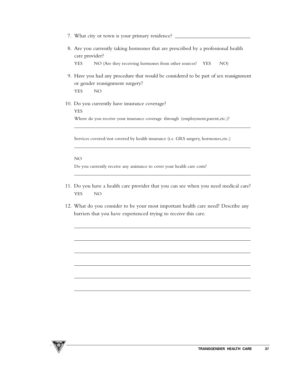- 7. What city or town is your primary residence? \_\_\_\_\_\_\_\_\_\_\_\_\_\_\_\_\_\_\_\_\_\_\_\_\_\_\_\_\_\_\_\_
- 8. Are you currently taking hormones that are prescribed by a professional health care provider? YES NO (Are they receiving hormones from other sources? YES NO)
- 9. Have you had any procedure that would be considered to be part of sex reassignment or gender reassignment surgery? YES NO
- 10. Do you currently have insurance coverage? YES Where do you receive your insurance coverage through (employment,parent,etc.)?

Services covered/not covered by health insurance (i.e. GRS surgery, hormones,etc.)

#### NO

Do you currently receive any assistance to cover your health care costs?

- 11. Do you have a health care provider that you can see when you need medical care? YES NO
- 12. What do you consider to be your most important health care need? Describe any barriers that you have experienced trying to receive this care.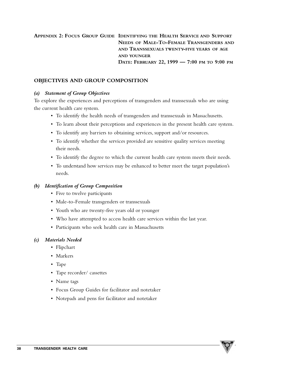## <span id="page-39-0"></span>**APPENDIX 2: FOCUS GROUP GUIDE IDENTIFYING THE HEALTH SERVICE AND SUPPORT NEEDS OF MALE-TO-FEMALE TRANSGENDERS AND AND TRANSSEXUALS TWENTY-FIVE YEARS OF AGE AND YOUNGER DATE: FEBRUARY 22, 1999 — 7:00 PM TO 9:00 PM**

## **OBJECTIVES AND GROUP COMPOSITION**

## *(a) Statement of Group Objectives*

To explore the experiences and perceptions of transgenders and transsexuals who are using the current health care system.

- To identify the health needs of transgenders and transsexuals in Massachusetts.
- To learn about their perceptions and experiences in the present health care system.
- To identify any barriers to obtaining services, support and/or resources.
- To identify whether the services provided are sensitive quality services meeting their needs.
- To identify the degree to which the current health care system meets their needs.
- To understand how services may be enhanced to better meet the target population's needs.

## *(b) Identification of Group Composition*

- Five to twelve participants
- Male-to-Female transgenders or transsexuals
- Youth who are twenty-five years old or younger
- Who have attempted to access health care services within the last year.
- Participants who seek health care in Massachusetts

## *(c) Materials Needed*

- Flipchart
- Markers
- Tape
- Tape recorder/ cassettes
- Name tags
- Focus Group Guides for facilitator and notetaker
- Notepads and pens for facilitator and notetaker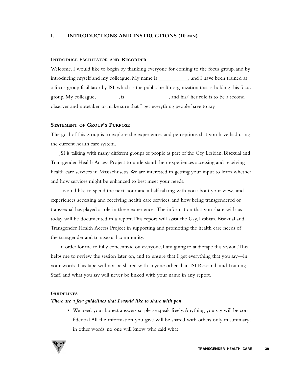## **I. INTRODUCTIONS AND INSTRUCTIONS (10 MIN)**

#### **INTRODUCE FACILITATOR AND RECORDER**

Welcome. I would like to begin by thanking everyone for coming to the focus group, and by introducing myself and my colleague. My name is \_\_\_\_\_\_\_\_\_\_\_, and I have been trained as a focus group facilitator by JSI, which is the public health organization that is holding this focus group. My colleague, \_\_\_\_\_\_\_\_, is \_\_\_\_\_\_\_\_\_\_\_\_\_\_\_\_, and his/ her role is to be a second observer and notetaker to make sure that I get everything people have to say.

#### **STATEMENT OF GROUP'S PURPOSE**

The goal of this group is to explore the experiences and perceptions that you have had using the current health care system.

JSI is talking with many different groups of people as part of the Gay, Lesbian, Bisexual and Transgender Health Access Project to understand their experiences accessing and receiving health care services in Massachusetts.We are interested in getting your input to learn whether and how services might be enhanced to best meet your needs.

I would like to spend the next hour and a half talking with you about your views and experiences accessing and receiving health care services, and how being transgendered or transsexual has played a role in these experiences.The information that you share with us today will be documented in a report.This report will assist the Gay, Lesbian, Bisexual and Transgender Health Access Project in supporting and promoting the health care needs of the transgender and transsexual community.

In order for me to fully concentrate on everyone, I am going to audiotape this session. This helps me to review the session later on, and to ensure that I get everything that you say—in your words.This tape will not be shared with anyone other than JSI Research and Training Staff, and what you say will never be linked with your name in any report.

#### **GUIDELINES**

#### *There are a few guidelines that I would like to share with you.*

• We need your honest answers so please speak freely.Anything you say will be confidential.All the information you give will be shared with others only in summary; in other words, no one will know who said what.

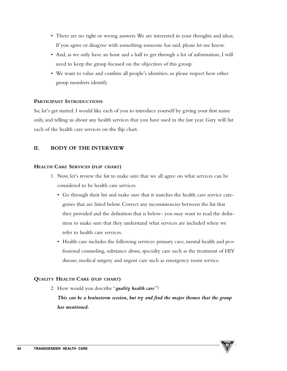- There are no right or wrong answers.We are interested in your thoughts and ideas. If you agree or disagree with something someone has said, please let me know.
- And,as we only have an hour and a half to get through a lot of information, I will need to keep the group focused on the objectives of this g roup.
- We want to value and confirm all people's identities, so please respect how other group members identify.

## **PARTICIPANT INTRODUCTIONS**

So, let's get started. I would like each of you to introduce yourself by giving your first name only,and telling us about any health services that you have used in the last year. Gary will list each of the health care services on the flip chart.

## **II. BODY OF THE INTERVIEW**

## **HEALTH CARE SERVICES (FLIP CHART)**

- 1. Now, let's review the list to make sure that we all agree on what services can be considered to be health care services.
	- Go through their list and make sure that it matches the health care service categories that are listed below. Correct any inconsistencies between the list that they provided and the definition that is below- you may want to read the definition to make sure that they understand what services are included when we refer to health care services.
	- Health care includes the following services: primary care, mental health and professional counseling, substance abuse, specialty care such as the treatment of HIV disease, medical surgery and urgent care such as emergency room service.

## **QUALITY HEALTH CARE (FLIP CHART)**

2. How would you describe "*quality health care*"? *This can be a brainstorm session, but try and find the major themes that the group has mentioned.*

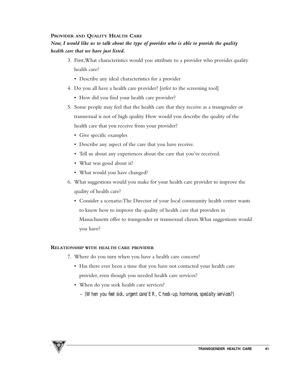## **PROVIDER AND QUALITY HEALTH CARE**

## *Now, I would like us to talk about the type of provider who is able to provide the quality health care that we have just listed.*

- 3. First,What characteristics would you attribute to a provider who provides quality health care?
	- Describe any ideal characteristics for a provider
- 4. Do you all have a health care provider? [refer to the screening tool]
	- How did you find your health care provider?
- 5. Some people may feel that the health care that they receive as a transgender or transsexual is not of high quality. How would you describe the quality of the health care that you receive from your provider?
	- Give specific examples
	- Describe any aspect of the care that you have receive.
	- Tell us about any experiences about the care that you've received.
	- What was good about it?
	- What would you have changed?
- 6. What suggestions would you make for your health care provider to improve the quality of health care?
	- Consider a scenario:The Director of your local community health center wants to know how to improve the quality of health care that providers in Massachusetts offer to transgender or transsexual clients.What suggestions would you have?

## **RELATIONSHIP WITH HEALTH CARE PROVIDER**

- 7. Where do you turn when you have a health care concern?
	- Has there ever been a time that you have not contacted your health care provider, even though you needed health care services?
	- When do you seek health care services?
		- *(When you feel sick, urgent care/ER, Check-up, hormones, specialty services?)*

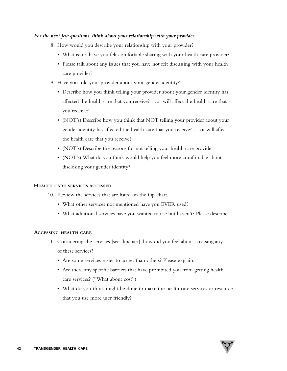## *For the next few questions, think about your relationship with your provider.*

- 8. How would you describe your relationship with your provider?
	- What issues have you felt comfortable sharing with your health care provider?
	- Please talk about any issues that you have not felt discussing with your health care provider?
- 9. Have you told your provider about your gender identity?
	- Describe how you think telling your provider about your gender identity has affected the health care that you receive? …or will affect the health care that you receive?
	- (NOT's) Describe how you think that NOT telling your provider about your gender identity has affected the health care that you receive? ….or will affect the health care that you receive?
	- (NOT's) Describe the reasons for not telling your health care provider
	- (NOT's) What do you think would help you feel more comfortable about disclosing your gender identity?

#### **HEALTH CARE SERVICES ACCESSED**

- 10. Review the services that are listed on the flip chart.
	- What other services not mentioned have you EVER used?
	- What additional services have you wanted to use but haven't? Please describe.

#### **ACCESSING HEALTH CARE**

- 11. Considering the services [see flipchart], how did you feel about accessing any of these services?
	- Are some services easier to access than others? Please explain.
	- Are there any specific barriers that have prohibited you from getting health care services? ("What about cost")
	- What do you think might be done to make the health care services or resources that you use more user friendly?

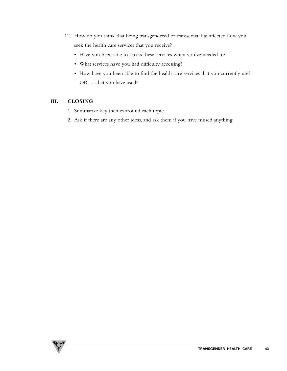- 12. How do you think that being transgendered or transsexual has affected how you seek the health care services that you receive?
	- Have you been able to access these services when you've needed to?
	- What services have you had difficulty accessing?
	- How have you been able to find the health care services that you currently use? OR…..that you have used?

## **III. CLOSING**

- 1. Summarize key themes around each topic.
- 2. Ask if there are any other ideas, and ask them if you have missed anything.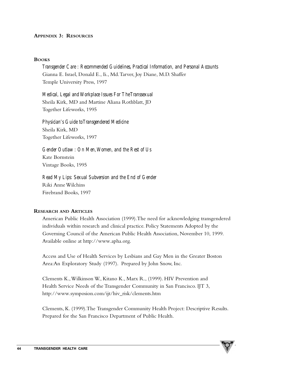## <span id="page-45-0"></span>**APPENDIX 3: RESOURCES**

## **BOOKS**

*Transgender Care : Recommended Guidelines, Practical Information, and Personal Accounts*  Gianna E. Israel, Donald E., Ii., Md.Tarver, Joy Diane, M.D. Shaffer Temple University Press, 1997

*Medical, Legal and Workplace Issues For The Transsexual* Sheila Kirk, MD and Martine Aliana Rothblatt, JD Together Lifeworks, 1995

*Physician's Guide to Transgendered Medicine* Sheila Kirk, MD Together Lifeworks, 1997

*Gender Outlaw : On Men,Women, and the Rest of Us* Kate Bornstein Vintage Books, 1995

*Read My Lips: Sexual Subversion and the End of Gender* Riki Anne Wilchins Firebrand Books, 1997

## **RESEARCH AND ARTICLES**

American Public Health Association (1999).The need for acknowledging transgendered individuals within research and clinical practice. Policy Statements Adopted by the Governing Council of the American Public Health Association, November 10, 1999. Available online at [http://www.apha.org.](www.apha.org)

Access and Use of Health Services by Lesbians and Gay Men in the Greater Boston Area:An Exploratory Study (1997). Prepared by John Snow, Inc.

Clements K.,Wilkinson W., Kitano K., Marx R., (1999). HIV Prevention and Health Service Needs of the Transgender Community in San Francisco. IJT 3, [http://www.symposion.com/ijt/hiv\\_risk/clements.htm](http://www.symposion.com/ijt/hiv_risk/clements.htm)

Clements, K. (1999).The Transgender Community Health Project: Descriptive Results. Prepared for the San Francisco Department of Public Health.